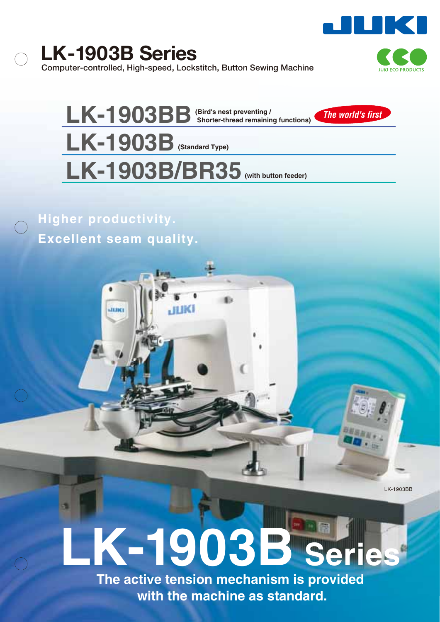**LK-1903B Series Computer-controlled, High-speed, Lockstitch, Button Sewing Machine**



LK-1903BB<sup>(Bird's nest preventing / Shorter-thread remaining functions)</sup> **LK-1903B (Standard Type)** LK-1903B/BR35 (With button feeder) *The world's first*

HIKI

**Higher productivity. Excellent seam quality.**

**ARREL** 

LK-1903BB

# **LK-1903B Series**

**The active tension mechanism is provided with the machine as standard.**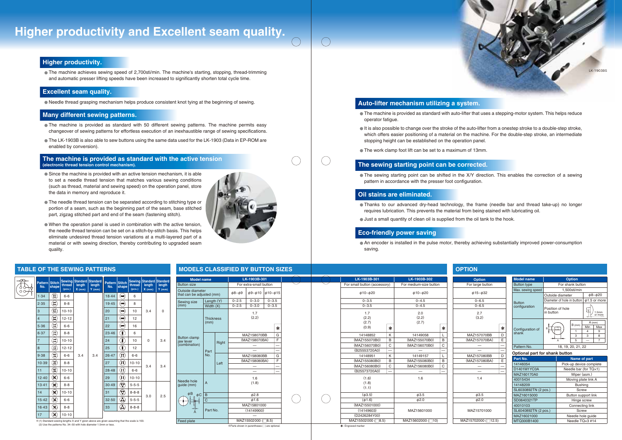The machine achieves sewing speed of 2,700sti/min. The machine's starting, stopping, thread-trimming and automatic presser lifting speeds have been increased to significantly shorten total cycle time.

# **Higher productivity.**

The machine is provided as standard with auto-lifter that uses a stepping-motor system. This helps reduce

- operator fatigue.
- stopping height can be established on the operation panel.
- The work clamp foot lift can be set to a maximum of 13mm.

It is also possible to change over the stroke of the auto-lifter from a onestep stroke to a double-step stroke, which offers easier positioning of a material on the machine. For the double-step stroke, an intermediate

# **Auto-lifter mechanism utilizing a system.**

The sewing starting point can be shifted in the X/Y direction. This enables the correction of a sewing

pattern in accordance with the presser foot configuration.

# **The sewing starting point can be corrected.**

# **Eco-friendly power saving**

Thanks to our advanced dry-head technology, the frame (needle bar and thread take-up) no longer

| ł |  |
|---|--|
|   |  |
| I |  |
|   |  |

- requires lubrication. This prevents the material from being stained with lubricating oil.
- Just a small quantity of clean oil is supplied from the oil tank to the hook.

# **Oil stains are eliminated.**

Needle thread grasping mechanism helps produce consistent knot tying at the beginning of sewing.

# **Excellent seam quality.**

- The machine is provided as standard with 50 different sewing patterns. The machine permits easy changeover of sewing patterns for effortless execution of an inexhaustible range of sewing specifications.
- The LK-1903B is also able to sew buttons using the same data used for the LK-1903 (Data in EP-ROM are enabled by conversion).

# **Many different sewing patterns.**

- Since the machine is provided with an active tension mechanism, it is able to set a needle thread tension that matches various sewing conditions (such as thread, material and sewing speed) on the operation panel, store the data in memory and reproduce it.
- The needle thread tension can be separated according to stitching type or portion of a seam, such as the beginning part of the seam, base stitched part, zigzag stitched part and end of the seam (fastening stitch).
- When the operation panel is used in combination with the active tension, the needle thread tension can be set on a stitch-by-stitch basis. This helps eliminate undesired thread tension variations at a multi-layered part of a material or with sewing direction, thereby contributing to upgraded seam quality.

# **The machine is provided as standard with the active tension (electronic thread tension control mechanism).**

### An encoder is installed in the pulse motor, thereby achieving substantially improved power-consumption saving. **OPTI LK-1903B-302** φ10~φ20 For medium-size button 14149058 (MAZ155070B0) (MAZ156070B0) 2.0 (2.2) (2.7) 1.7 (2.2) (2.7) (0.9)  $0 - 4.5$  $0 - 4.5$ 0~3.5 0~3.5 K B C L B C

|  | <b>Model name</b>                             |                          |               | LK-1903B-301                                                      |                        |           |        |  |
|--|-----------------------------------------------|--------------------------|---------------|-------------------------------------------------------------------|------------------------|-----------|--------|--|
|  | <b>Button size</b>                            |                          |               |                                                                   | For extra-small button |           |        |  |
|  | Outside diameter<br>that can be adjusted (mm) |                          |               | $\phi$ 9~ $\phi$ 10<br>$\phi$ 10~ $\phi$ 15<br>$\phi$ 8~ $\phi$ 9 |                        |           |        |  |
|  | Sewing size                                   | Length $(Y)$             |               | $0 - 2.5$                                                         | $0 - 3.0$              | $0 - 3.5$ |        |  |
|  | (mm)                                          | Width $(X)$              |               | $0 - 2.5$                                                         | $0 - 3.0$              | $0 - 3.5$ |        |  |
|  |                                               | <b>Thickness</b><br>(mm) |               |                                                                   | 1.7<br>(2.2)           |           |        |  |
|  |                                               |                          |               |                                                                   |                        |           | ∗      |  |
|  | <b>Button clamp</b>                           |                          |               |                                                                   | MAZ158070BB            |           | G      |  |
|  | jaw lever                                     |                          | Right<br>Left | (MAZ158070BA)                                                     |                        |           | F      |  |
|  | (combination)                                 | Part<br>No.              |               |                                                                   |                        |           |        |  |
|  |                                               |                          |               | MAZ158080BB                                                       |                        |           |        |  |
|  |                                               |                          |               | (MAZ158080BA)                                                     |                        |           | G<br>F |  |
|  |                                               |                          |               |                                                                   |                        |           |        |  |
|  |                                               |                          |               |                                                                   |                        |           |        |  |
|  |                                               |                          |               | 1.6                                                               |                        |           |        |  |
|  | Needle hole<br>guide (mm)                     | A                        |               |                                                                   | (1.8)                  |           |        |  |
|  |                                               |                          |               |                                                                   |                        |           |        |  |
|  | φB<br>$\phi C$                                | B                        |               | $\phi$ 2.8                                                        |                        |           |        |  |
|  |                                               | Ċ                        |               |                                                                   | $\phi$ 1.6             |           |        |  |
|  |                                               |                          |               |                                                                   | MAZ15801000            |           |        |  |
|  |                                               | Part No.                 |               | (14149900)                                                        |                        |           |        |  |
|  | Feed plate                                    |                          |               | MAZ15502000 (F<br>$ 8.5\rangle$                                   |                        |           |        |  |
|  |                                               |                          |               | : Experts shown in parentheses () are optional.                   |                        |           |        |  |

| →lXI<br>$\circ$ | <b>Pattern</b><br>No. | <b>Stitch</b><br>shape                             | <b>Sewing</b><br>thread<br>(pcs.) | <b>Standard</b><br>length<br>$X$ (mm) | <b>Standard</b><br>length<br>$Y$ (mm)                                                                                                                          | <b>Pattern</b><br>No. | <b>Stitch</b><br>shape                                              | <b>Sewing</b><br>thread<br>(pcs.) | Standard Standard<br>length<br>$X$ (mm) | length<br>$Y$ (mm) |
|-----------------|-----------------------|----------------------------------------------------|-----------------------------------|---------------------------------------|----------------------------------------------------------------------------------------------------------------------------------------------------------------|-----------------------|---------------------------------------------------------------------|-----------------------------------|-----------------------------------------|--------------------|
|                 | 1.34                  | پخ                                                 | $6 - 6$                           |                                       |                                                                                                                                                                | 18.44                 | $\left(\rightleftharpoons\right)$                                   | 6                                 |                                         |                    |
|                 | 2.35                  |                                                    | $8 - 8$                           |                                       |                                                                                                                                                                | 19.45                 | ∞                                                                   | 8                                 |                                         |                    |
|                 | 3                     | $\mathbf{\hat{r}}$                                 | $10 - 10$                         |                                       |                                                                                                                                                                | 20                    | (≔€                                                                 | 10                                | 3.4                                     | 0                  |
|                 | $\overline{4}$        | $\mathbf{\hat{r}}$                                 | $12 - 12$                         |                                       |                                                                                                                                                                | 21                    | (≔∎                                                                 | 12                                |                                         |                    |
|                 | 5.36                  | $\mathbf{r}$                                       | $6 - 6$                           |                                       |                                                                                                                                                                | 22                    | ∞                                                                   | 16                                |                                         |                    |
|                 | 6.37                  | پە                                                 | $8 - 8$                           |                                       |                                                                                                                                                                | 23.46                 | $\widehat{\mathbf{I}}$                                              | 6                                 |                                         |                    |
|                 | $\overline{7}$        | ۳                                                  | $10 - 10$                         |                                       |                                                                                                                                                                | 24                    | $\bigl( \begin{smallmatrix} 0 & 0 \ 0 & 0 \end{smallmatrix} \bigr)$ | 10                                | 0                                       | 3.4                |
|                 | 8                     | $\mathbf{\hat{z}}$                                 | $12 - 12$                         |                                       |                                                                                                                                                                | 25                    | $\mathbf{\widehat{J}}$                                              | 12                                |                                         |                    |
|                 | 9.38                  | ۳                                                  | $6 - 6$                           | 3.4                                   | 3.4                                                                                                                                                            | 26.47                 | $\Omega)$                                                           | $6-6$                             |                                         |                    |
|                 | 10.39                 | ۴                                                  | $8 - 8$                           |                                       |                                                                                                                                                                | 27                    | $\left(\mathfrak{n}\right)$                                         | $10 - 10$                         |                                         |                    |
|                 | 11                    | $\mathbf{\hat{z}}$                                 | $10 - 10$                         |                                       |                                                                                                                                                                | 28.48                 | $\Omega)$                                                           | $6-6$                             | 3.4                                     | 3.4                |
|                 | 12.40                 | $(\mathbf{x})$                                     | $6 - 6$                           |                                       |                                                                                                                                                                | 29                    | $\left( \mathbf{u}\right)$                                          | $10 - 10$                         |                                         |                    |
|                 | 13.41                 | $\left(\!\!\left.\textbf{x}\!\!\right)\!\!\right)$ | $8 - 8$                           |                                       |                                                                                                                                                                | 30.49                 | Ŷ,                                                                  | $5 - 5 - 5$                       |                                         |                    |
|                 | 14                    | $\mathbf{\hat{x}}$                                 | $10 - 10$                         |                                       |                                                                                                                                                                | 31                    | $\blacktriangledown$                                                | $8 - 8 - 8$                       |                                         |                    |
|                 | 15.42                 | $(\mathbf{x})$                                     | $6 - 6$                           |                                       |                                                                                                                                                                | 32.50                 | ٨                                                                   | $5 - 5 - 5$                       | 3.0                                     | 2.5                |
|                 | 16.43                 | $\mathcal{R}$                                      | $8 - 8$                           |                                       |                                                                                                                                                                | 33                    | $\bigcircledA$                                                      | $8 - 8 - 8$                       |                                         |                    |
|                 | 17                    | ≫ે                                                 | $10 - 10$                         |                                       |                                                                                                                                                                |                       |                                                                     |                                   |                                         |                    |
|                 |                       |                                                    |                                   |                                       | ※(1) Standard sewing lengths X and Y given above are given assuming that the scale is 100.<br>(2) Use the patterns No. 34~50 with hole diameter 1.5mm or less. |                       |                                                                     |                                   |                                         |                    |

# **TABLE OF THE SEWING PATTERNS MODELS CLASSIFIED BY BUTTON SIZES**

| LK-1903B-301                 | LK-1903B-302 |                      |                        | <b>Option</b> |                      | <b>Model name</b> |                                | <b>Option</b>         |                            |                                              |
|------------------------------|--------------|----------------------|------------------------|---------------|----------------------|-------------------|--------------------------------|-----------------------|----------------------------|----------------------------------------------|
| For small button (accessory) |              |                      | For medium-size button |               | For large button     |                   | <b>Button type</b>             | For shank button      |                            |                                              |
|                              |              |                      |                        |               |                      |                   | Max. sewing speed              |                       | 1,500sti/min               |                                              |
| $\phi$ 10~ $\phi$ 20         |              | $\phi$ 10~ $\phi$ 20 |                        |               | $\phi$ 15~ $\phi$ 32 |                   |                                | Outside diameter      |                            | $\phi$ 8~ $\phi$ 20                          |
| $0 - 3.5$                    |              | $0 - 4.5$            |                        |               | $0 - 6.5$            |                   | <b>Button</b>                  |                       | Diameter of hole in button | $\phi$ 1.5 or more                           |
| $0 - 3.5$                    |              | $0 - 4.5$            |                        |               | $0 - 6.5$            |                   | configuration                  | Position of hole      |                            |                                              |
| 1.7                          |              | 2.0                  |                        |               | 2.7                  |                   |                                | in button             |                            | $\overline{\mathbb{P}}$<br>1.5 <sub>mm</sub> |
| (2.2)                        |              | (2.2)                |                        |               | (3.2)                |                   |                                |                       |                            | or more                                      |
| (2.7)                        |              | (2.7)                |                        |               |                      |                   |                                |                       |                            | $A$ (mm)                                     |
| (0.9)                        | $\ast$       |                      | ∗                      |               |                      | $\ast$            | Configuration of               | B                     | $B$ (mm)                   | Min<br>Max                                   |
|                              |              |                      |                        |               |                      |                   | shank                          |                       | $\overline{1}$             | 9<br>4                                       |
| 14148852                     | K            | 14149058             |                        |               | MAZ157070BB          | D                 |                                |                       | 3                          | 8<br>3                                       |
| (MAZ155070B0)                | B            | (MAZ155070B0)        | B                      |               | (MAZ157070BA)        | E                 |                                |                       | 5                          | $\overline{7}$                               |
| (MAZ156070B0)                | C            | (MAZ156070B0)        | C                      |               |                      |                   | Pattern No.                    |                       | 18, 19, 20, 21, 22         |                                              |
| (B25553720A0)                |              |                      |                        |               |                      |                   | Optional part for shank button |                       |                            |                                              |
| 14148951                     | K            | 14149157             | L                      |               | MAZ157080BB          | D                 | Part No.                       |                       | Name of part               |                                              |
| (MAZ155080B0)                | B            | (MAZ155080B0)        | B                      |               | (MAZ157080BA)        | E                 | 14146054                       |                       | Pick-up device complete    |                                              |
| (MAZ156080B0)                | C            | (MAZ156080B0)        | C                      |               |                      |                   | D1401M1YC0A                    |                       |                            |                                              |
| (B25573720A0)                |              |                      |                        |               |                      |                   |                                | Needle bar (for TQ×1) |                            |                                              |
| (1.6)                        |              | 1.6                  |                        |               | 1.4                  |                   | MAZ160170A0                    | Wiper (asm.)          |                            |                                              |
| (1.8)                        |              |                      |                        |               |                      |                   | 40015434                       |                       | Moving plate link A        |                                              |
| (1.1)                        |              |                      |                        |               |                      |                   | 14148209                       |                       | <b>Bushing</b>             |                                              |
|                              |              | $\phi$ 3.5           |                        |               |                      |                   | SL6030892TN (2 pcs.)           |                       | Screw                      |                                              |
|                              | (d3.5)       |                      |                        |               | $\phi$ 3.5           |                   | MAZ16015000                    |                       | Button support link        |                                              |
| $(\phi 1.6)$                 |              | $\phi$ 2.0           |                        |               | $\phi$ 2.0           |                   | SD0640321TP                    |                       | Hinge screw                |                                              |
| (MAZ15501000)                |              |                      |                        |               |                      |                   | 40010103                       |                       | Connecting link            |                                              |
| (14149603)                   |              | MAZ15601000          |                        |               | MAZ15701000          |                   | SL6040892TN (2 pcs.)           |                       | <b>Screw</b>               |                                              |
| (D2426284Y00)                |              |                      |                        |               |                      |                   | MAZ16021000                    |                       | Needle hole guide          |                                              |
| MAZ15502000 (8.5)            |              | MAZ15602000 (710)    |                        |               | MAZ15702000 (712.5)  |                   | MTQ300B1400                    |                       | Needle TQ×3 #14            |                                              |
| Engraved marker              |              |                      |                        |               |                      |                   |                                |                       |                            |                                              |

# **Higher productivity and Excellent seam quality.**

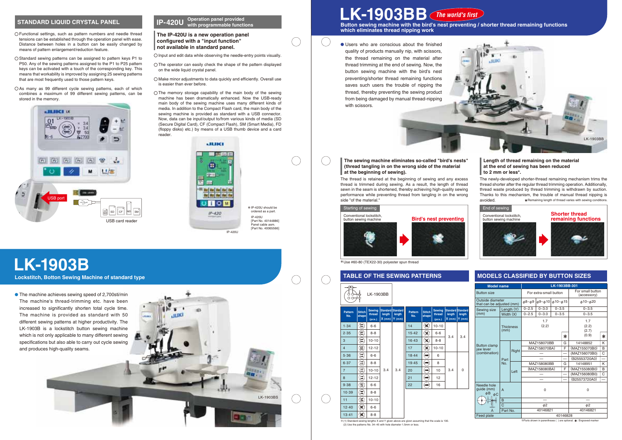13·41

8-8

 $\left( \mathbf{\hat{x}}\right)$ 

# **STANDARD LIQUID CRYSTAL PANEL <b>IP-420U** <sup>Operation panel provided **IP-420U** with programmable function</sup> **with programmable functions**

The newly-developed shorter-thread remaining mechanism trims the thread shorter after the regular thread trimming operation. Additionally, thread waste produced by thread trimming is withdrawn by suction. Thanks to this mechanism, the trouble of manual thread nipping is avoided. \* Remaining length of thread varies with sewing conditions.



- The operator can easily check the shape of the pattern displayed on the wide liquid crystal panel.
- $\bigcirc$  Make minor adjustments to data quickly and efficiently. Overall use is easier than ever before.
- $\bigcirc$  The memory storage capability of the main body of the sewing machine has been dramatically enhanced. Now the USB-ready main body of the sewing machine uses many different kinds of media. In addition to the Compact Flash card, the main body of the sewing machine is provided as standard with a USB connector. Now, data can be input/output to/from various kinds of media (SD (Secure Digital Card), CF (Compact Flash), SM (Smart Media), FD (floppy disks) etc.) by means of a USB thumb device and a card reader

The thread is retained at the beginning of sewing and any excess thread is trimmed during sewing. As a result, the length of thread sewn in the seam is shortened, thereby achieving high-quality sewing performance while preventing thread from tangling in on the wrong side "of the material."



**which eliminates thread nipping work**

### **TABLE OF THE SEWING PATTERNS MODELS CLASSIFIED BY BUTTON SIZES** LK-1903BB  $\circ$ **Sewing Sewing Standard Standard Standard Standard Pattern Stitch Pattern Stitch length length No. thread No. thread length length shape shape (pcs.) X (mm) Y (mm) (pcs.) X (mm) Y (mm)** 1·34  $\mathbf{r}$ 6-6  $14$  $\mathbf{R}$ 10-10 2·35  $\mathbf{E}$ 8-8 15·42  $(\hat{\mathbf{x}})$ 6-6 3.4 3.4  $\mathbf{E}$ 8-8 10-10 16·43  $\mathcal{R}$ 3  $\overline{A}$  $\bigcirc$ 12-12 17  $\circledast$ 10-10 5·36  $\mathbf{r}$ 6-6 18·44 (■ 6  $\mathbf{e}$ 6·37 8-8 19·45 4 8  $\mathbf{G}$ 10-10 3.4 3.4 20 10  $3.4 \quad 0$ (⊷ 7  $\mathbf{G}$  $\circledast$ 8 12-12 21 12 9·38 S) 6-6 22  $\qquad \qquad \text{or} \qquad \qquad$ 16  $\mathfrak{D}$ 10·39 8-8  $\mathbf{r}$ 11  $10-10$ 12·40  $\circledast$ 6-6



- Functional settings, such as pattern numbers and needle thread tensions can be established through the operation panel with ease. Distance between holes in a button can be easily changed by means of pattern enlargement/reduction feature.
- O Standard sewing patterns can be assigned to pattern keys P1 to P50. Any of the sewing patterns assigned to the P1 to P25 pattern keys can be activated with a touch of the corresponding key. This means that workability is improved by assigning 25 sewing patterns that are most frequently used to those pattern keys.
- OAs many as 99 different cycle sewing patterns, each of which combines a maximum of 99 different sewing patterns, can be stored in the memory.





# **The IP-420U is a new operation panel configured with a "input function" not available in standard panel.**

 $\bigcirc$  Input and edit data while observing the needle-entry points visually.

# **LK-1903BB** *The world's first*

| <b>Model name</b>                             |                           |       | LK-1903BB-301       |                        |                      |                                 |                      |   |  |
|-----------------------------------------------|---------------------------|-------|---------------------|------------------------|----------------------|---------------------------------|----------------------|---|--|
| <b>Button size</b>                            |                           |       |                     | For extra-small button |                      | For small button<br>(accessory) |                      |   |  |
| Outside diameter<br>that can be adjusted (mm) |                           |       | $\phi$ 8~ $\phi$ 9  | $\phi$ 9~ $\phi$ 10    | $\phi$ 10~ $\phi$ 15 |                                 | $\phi$ 10~ $\phi$ 20 |   |  |
| Sewing size                                   | Length (Y)<br>Width $(X)$ |       | $0 - 2.5$           | $0 - 3.0$              | $0 - 3.5$            |                                 | $0 - 3.5$            |   |  |
| (mm)                                          |                           |       | $0 - 2.5$           | $0 - 3.0$              | $0 - 3.5$            |                                 | $0 - 3.5$            |   |  |
|                                               | <b>Thickness</b><br>(mm)  |       | 1.7<br>(2.2)        |                        |                      | 1.7<br>(2.2)<br>(2.7)           |                      |   |  |
|                                               |                           |       |                     |                        |                      | ∗                               | (0.9)                | ∗ |  |
|                                               | Part<br>No.               | Right |                     | MAZ158070BB<br>G       |                      |                                 | 14148852             | ĸ |  |
| <b>Button clamp</b><br>jaw lever              |                           |       | (MAZ158070BA)       |                        |                      | F                               | (MAZ155070B0)        | B |  |
| (combination)                                 |                           |       |                     |                        |                      |                                 | (MAZ156070B0)        | C |  |
|                                               |                           |       |                     |                        |                      |                                 | (B25553720A0)        |   |  |
|                                               |                           | Left  | MAZ158080BB         |                        |                      | G                               | 14148951             | Κ |  |
|                                               |                           |       | (MAZ158080BA)       |                        |                      | F                               | (MAZ155080B0)        | B |  |
|                                               |                           |       |                     |                        |                      |                                 | (MAZ156080B0)        | C |  |
|                                               |                           |       |                     |                        |                      |                                 | (B25573720A0)        |   |  |
| Needle hole<br>quide (mm)<br>φB<br>$\phi C$   | $\overline{A}$            |       | $\Omega$            |                        |                      |                                 | 0                    |   |  |
|                                               | B                         |       |                     |                        |                      |                                 |                      |   |  |
|                                               | Ċ                         |       | $\phi$ <sub>2</sub> |                        |                      |                                 | $\phi$ <sub>2</sub>  |   |  |
|                                               | Part No.                  |       | 40146821            |                        |                      | 40146821                        |                      |   |  |
| Feed plate                                    |                           |       | 40146828            |                        |                      |                                 |                      |   |  |

※Parts shown in parentheses ( ) are optional. **※**: Engraved marke



# **The sewing machine eliminates so-called "bird's nests" (thread tangling in on the wrong side of the material at the beginning of sewing).**

# **Length of thread remaining on the material at the end of sewing has been reduced to 2 mm or less\*.**



Users who are conscious about the finished quality of products manually nip, with scissors, the thread remaining on the material after thread trimming at the end of sewing. Now, the button sewing machine with the bird's nest preventing/shorter thread remaining functions saves such users the trouble of nipping the thread, thereby preventing the sewing product from being damaged by manual thread-nipping with scissors.

※(1) Standard sewing lengths X and Y given above are given assuming that the scale is 100. (2) Use the patterns No. 34~45 with hole diameter 1.5mm or less.

\*Use #60-80 (TEX22-30) polyester spun thread

✽ IP-420U should be ordered as a part. IP-420U [Part No. 40144886] Panel cable asm. [Part No. 40065566]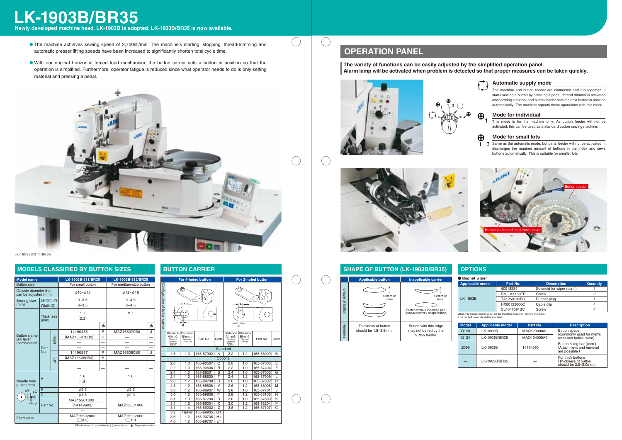LK-1903BS-311/BR35

# **MODELS CLASSIFIED BY BUTTON SIZES BUTTON CARRIER**

# **OPERATION PANEL**

 $(\quad)$ 

 $(\quad)$ 

 $(\quad)$ 

# **LK-1903B/BR35**

**Newly developed machine head, LK-1903B is adopted. LK-1903B/BR35 is now available.**

When you install magnet wiper on the machine head after factory shipment, a part of belt cover should be modified.

### $\bigoplus$ **Mode for individual**

## The machine and button feeder are connected and run together. It starts sewing a button by pressing a pedal, thread trimmer is activated after sewing a button, and button feeder sets the next button in position automatically. The machine repeats these operations with this mode. **Automatic supply mode**

 $\overline{1}$  Same as the automatic mode, but parts feeder will not be activated. It discharges the required amount of buttons in the index and sews buttons automatically. This is suitable for smaller lots.

### **Mode for small lots**  $\bigoplus$

This mode is for the machine only. As button feeder will not be activated, this can be used as a standard button sewing machine.

**The variety of functions can be easily adjusted by the simplified operation panel. Alarm lamp will be activated when problem is detected so that proper measures can be taken quickly.**







| net wiper   |             |                           |                 |
|-------------|-------------|---------------------------|-----------------|
| cable model | Part No.    | <b>Description</b>        | <b>Quantity</b> |
|             | 40018334    | Solenoid for wiper (asm.) |                 |
|             | SM6041150TP | Screw                     |                 |
| 03B         | TA1250705R0 | Rubber plug               |                 |
|             | HX00123000C | Cable clip                |                 |
|             | SL4041091SC | Screw                     |                 |

—

| <b>Applicable model</b> | Part No.    | <b>Description</b>                                                    |
|-------------------------|-------------|-----------------------------------------------------------------------|
| LK-1903B                | MAQ123000A0 | <b>Button spacer</b><br>(commonly used for men's                      |
| LK-1903B/BR35           | MAQ124000A0 | wear and ladies' wear)                                                |
| LK-1903B                | 14134050    | Button rising bar (asm.)<br>(Attachment and removal<br>are possible.) |
| LK-1903B/BR35           |             | For thick buttons<br>(Thickness of button<br>should be 2.5~5.0mm.)    |



| <b>Model name</b>                             |                          |                      | LK-1903B-311/BR35              | LK-1903B-312/BR35 |                               |   |  |
|-----------------------------------------------|--------------------------|----------------------|--------------------------------|-------------------|-------------------------------|---|--|
| <b>Button size</b>                            |                          |                      | For small button               |                   | For medium-size button        |   |  |
| Outside diameter that<br>can be adjusted (mm) |                          | $\phi$ 10~ $\phi$ 15 | $\phi$ 12~ $\phi$ 18           |                   |                               |   |  |
| Length $(Y)$<br>Sewing size                   |                          | $0 - 3.5$            |                                | $0 - 4.5$         |                               |   |  |
| (mm)                                          | Width $(X)$              |                      | $0 - 3.5$                      |                   | $0 - 4.5$                     |   |  |
|                                               | <b>Thickness</b><br>(mm) |                      | 1.7<br>(2.2)                   |                   |                               |   |  |
|                                               |                          |                      |                                | ∗                 |                               | ∗ |  |
|                                               |                          |                      | 14190458                       | P                 | MAZ166070B0                   | J |  |
| <b>Button clamp</b><br>jaw lever              | Part<br>No.              | Right                | (MAZ165070B0)                  | н                 |                               |   |  |
| (combination)                                 |                          |                      |                                |                   |                               |   |  |
|                                               |                          |                      |                                |                   |                               |   |  |
|                                               |                          | Left                 | 14190557                       | P                 | MAZ166080B0                   | J |  |
|                                               |                          |                      | (MAZ165080B0)                  | н                 |                               |   |  |
|                                               |                          |                      |                                |                   |                               |   |  |
|                                               |                          |                      |                                |                   |                               |   |  |
| Needle hole<br>quide (mm)                     | $\overline{A}$           |                      | 1.6<br>(1.8)                   |                   | 1.6                           |   |  |
| $\phi$ B <sub>.</sub> $\phi$ C                | B                        |                      | $\phi$ 3.5                     |                   | 63.5                          |   |  |
|                                               | $\overline{C}$           |                      | $\phi$ 1.6                     |                   | $\phi$ 2.0                    |   |  |
|                                               |                          |                      | MAZ15501000                    |                   |                               |   |  |
|                                               | Part No.                 |                      | (14149603)                     |                   | MAZ15601000                   |   |  |
|                                               |                          |                      |                                |                   |                               |   |  |
| Feed plate                                    |                          |                      | MAZ15502000<br>$(\square 8.5)$ |                   | MAZ15602000<br>$(\square$ 10) |   |  |





- The machine achieves sewing speed of 2,700sti/min. The machine's starting, stopping, thread-trimming and automatic presser lifting speeds have been increased to significantly shorten total cycle time.
- With our original horizontal forced feed mechanism, the button carrier sets a button in position so that the operation is simplified. Furthermore, operator fatigue is reduced since what operator needs to do is only setting material and pressing a pedal.